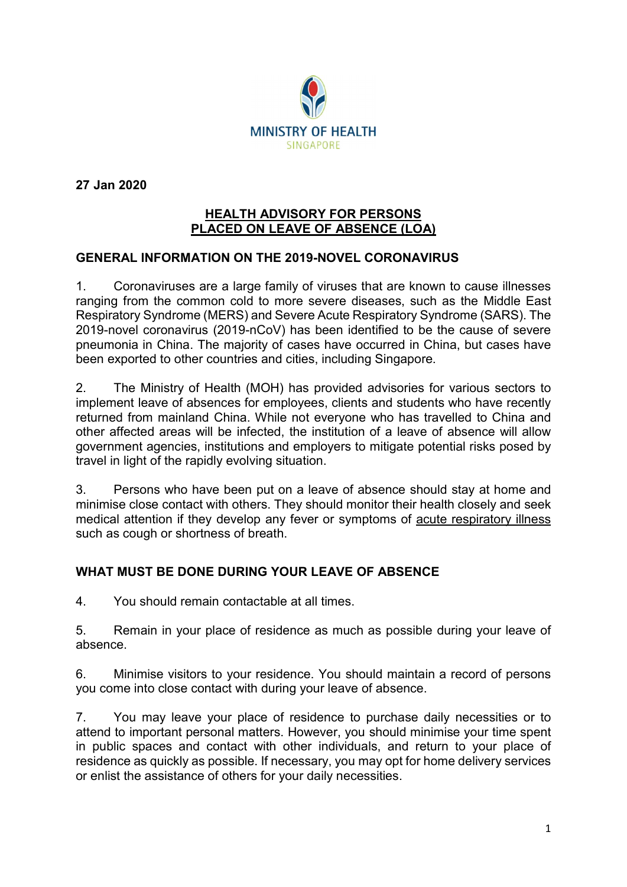

27 Jan 2020

#### HEALTH ADVISORY FOR PERSONS PLACED ON LEAVE OF ABSENCE (LOA)

### GENERAL INFORMATION ON THE 2019-NOVEL CORONAVIRUS

1. Coronaviruses are a large family of viruses that are known to cause illnesses ranging from the common cold to more severe diseases, such as the Middle East Respiratory Syndrome (MERS) and Severe Acute Respiratory Syndrome (SARS). The 2019-novel coronavirus (2019-nCoV) has been identified to be the cause of severe pneumonia in China. The majority of cases have occurred in China, but cases have been exported to other countries and cities, including Singapore.

2. The Ministry of Health (MOH) has provided advisories for various sectors to implement leave of absences for employees, clients and students who have recently returned from mainland China. While not everyone who has travelled to China and other affected areas will be infected, the institution of a leave of absence will allow government agencies, institutions and employers to mitigate potential risks posed by travel in light of the rapidly evolving situation.

3. Persons who have been put on a leave of absence should stay at home and minimise close contact with others. They should monitor their health closely and seek medical attention if they develop any fever or symptoms of acute respiratory illness such as cough or shortness of breath.

### WHAT MUST BE DONE DURING YOUR LEAVE OF ABSENCE

4. You should remain contactable at all times.

5. Remain in your place of residence as much as possible during your leave of absence.

6. Minimise visitors to your residence. You should maintain a record of persons you come into close contact with during your leave of absence.

7. You may leave your place of residence to purchase daily necessities or to attend to important personal matters. However, you should minimise your time spent in public spaces and contact with other individuals, and return to your place of residence as quickly as possible. If necessary, you may opt for home delivery services or enlist the assistance of others for your daily necessities.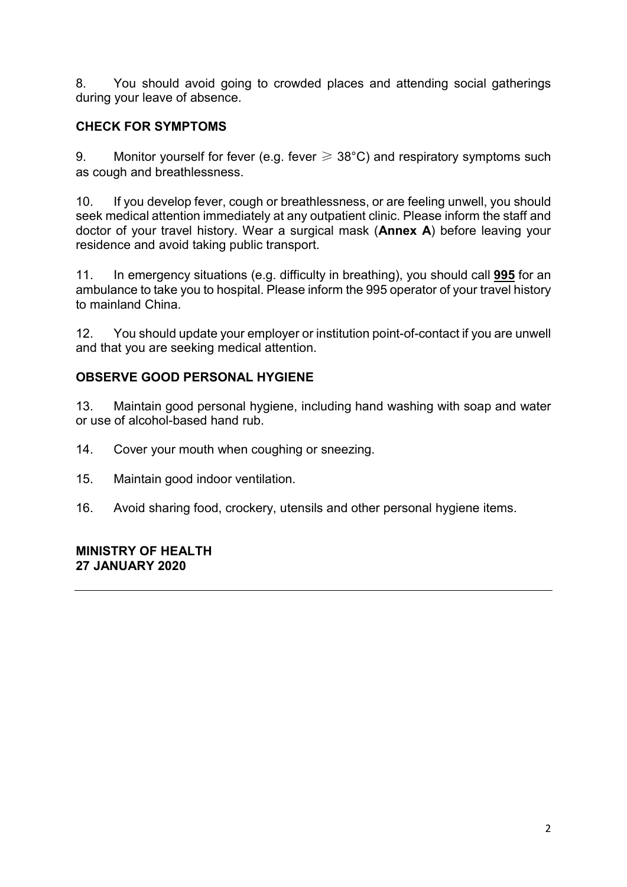8. You should avoid going to crowded places and attending social gatherings during your leave of absence.

# CHECK FOR SYMPTOMS

9. Monitor yourself for fever (e.g. fever  $\geq 38^{\circ}$ C) and respiratory symptoms such as cough and breathlessness.

10. If you develop fever, cough or breathlessness, or are feeling unwell, you should seek medical attention immediately at any outpatient clinic. Please inform the staff and doctor of your travel history. Wear a surgical mask (Annex A) before leaving your residence and avoid taking public transport.

11. In emergency situations (e.g. difficulty in breathing), you should call 995 for an ambulance to take you to hospital. Please inform the 995 operator of your travel history to mainland China.

12. You should update your employer or institution point-of-contact if you are unwell and that you are seeking medical attention.

## OBSERVE GOOD PERSONAL HYGIENE

13. Maintain good personal hygiene, including hand washing with soap and water or use of alcohol-based hand rub.

- 14. Cover your mouth when coughing or sneezing.
- 15. Maintain good indoor ventilation.
- 16. Avoid sharing food, crockery, utensils and other personal hygiene items.

### MINISTRY OF HEALTH 27 JANUARY 2020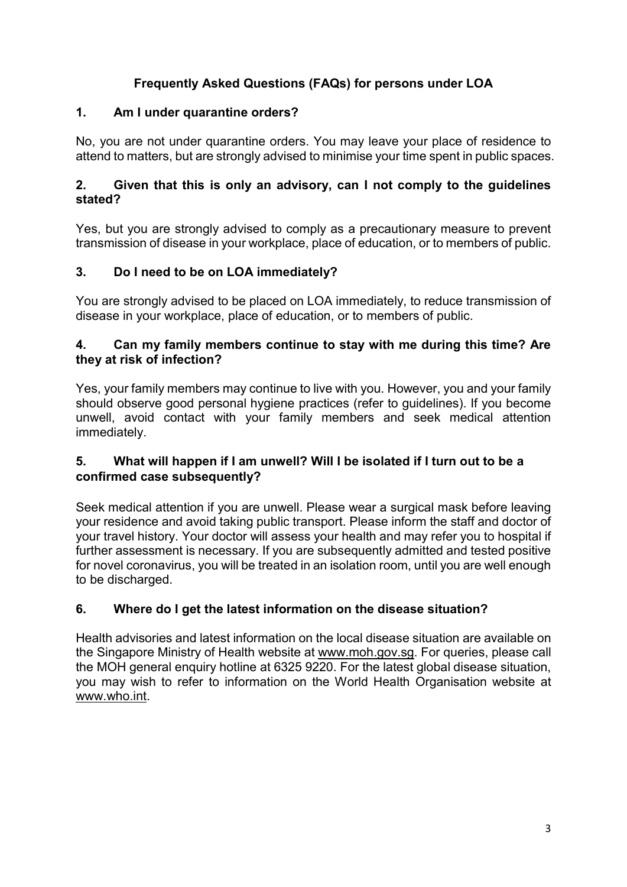# Frequently Asked Questions (FAQs) for persons under LOA

### 1. Am I under quarantine orders?

No, you are not under quarantine orders. You may leave your place of residence to attend to matters, but are strongly advised to minimise your time spent in public spaces.

### 2. Given that this is only an advisory, can I not comply to the guidelines stated?

Yes, but you are strongly advised to comply as a precautionary measure to prevent transmission of disease in your workplace, place of education, or to members of public.

# 3. Do I need to be on LOA immediately?

You are strongly advised to be placed on LOA immediately, to reduce transmission of disease in your workplace, place of education, or to members of public.

### 4. Can my family members continue to stay with me during this time? Are they at risk of infection?

Yes, your family members may continue to live with you. However, you and your family should observe good personal hygiene practices (refer to guidelines). If you become unwell, avoid contact with your family members and seek medical attention immediately.

### 5. What will happen if I am unwell? Will I be isolated if I turn out to be a confirmed case subsequently?

Seek medical attention if you are unwell. Please wear a surgical mask before leaving your residence and avoid taking public transport. Please inform the staff and doctor of your travel history. Your doctor will assess your health and may refer you to hospital if further assessment is necessary. If you are subsequently admitted and tested positive for novel coronavirus, you will be treated in an isolation room, until you are well enough to be discharged.

# 6. Where do I get the latest information on the disease situation?

Health advisories and latest information on the local disease situation are available on the Singapore Ministry of Health website at www.moh.gov.sg. For queries, please call the MOH general enquiry hotline at 6325 9220. For the latest global disease situation, you may wish to refer to information on the World Health Organisation website at www.who.int.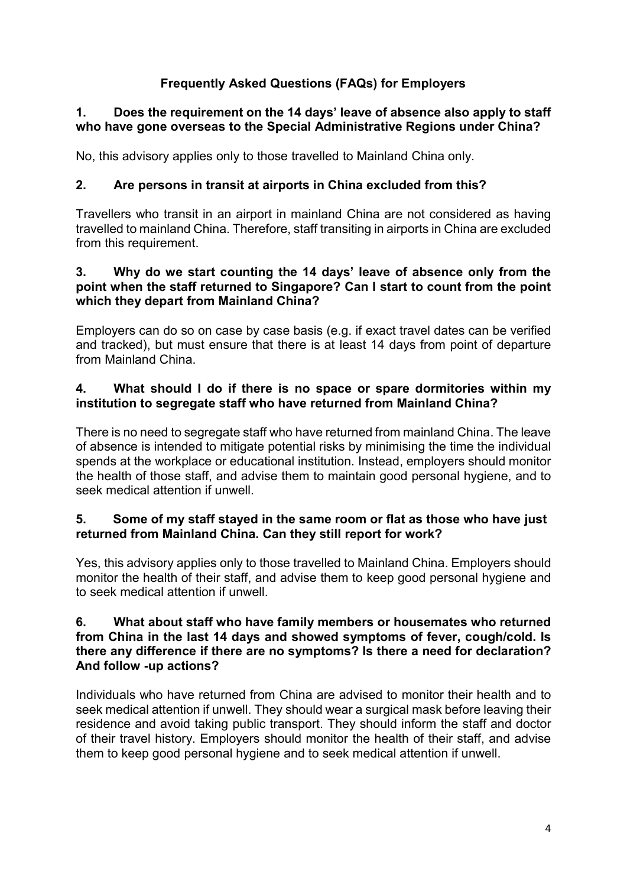# Frequently Asked Questions (FAQs) for Employers

### 1. Does the requirement on the 14 days' leave of absence also apply to staff who have gone overseas to the Special Administrative Regions under China?

No, this advisory applies only to those travelled to Mainland China only.

### 2. Are persons in transit at airports in China excluded from this?

Travellers who transit in an airport in mainland China are not considered as having travelled to mainland China. Therefore, staff transiting in airports in China are excluded from this requirement.

#### 3. Why do we start counting the 14 days' leave of absence only from the point when the staff returned to Singapore? Can I start to count from the point which they depart from Mainland China?

Employers can do so on case by case basis (e.g. if exact travel dates can be verified and tracked), but must ensure that there is at least 14 days from point of departure from Mainland China.

### 4. What should I do if there is no space or spare dormitories within my institution to segregate staff who have returned from Mainland China?

There is no need to segregate staff who have returned from mainland China. The leave of absence is intended to mitigate potential risks by minimising the time the individual spends at the workplace or educational institution. Instead, employers should monitor the health of those staff, and advise them to maintain good personal hygiene, and to seek medical attention if unwell.

### 5. Some of my staff stayed in the same room or flat as those who have just returned from Mainland China. Can they still report for work?

Yes, this advisory applies only to those travelled to Mainland China. Employers should monitor the health of their staff, and advise them to keep good personal hygiene and to seek medical attention if unwell.

#### 6. What about staff who have family members or housemates who returned from China in the last 14 days and showed symptoms of fever, cough/cold. Is there any difference if there are no symptoms? Is there a need for declaration? And follow -up actions?

Individuals who have returned from China are advised to monitor their health and to seek medical attention if unwell. They should wear a surgical mask before leaving their residence and avoid taking public transport. They should inform the staff and doctor of their travel history. Employers should monitor the health of their staff, and advise them to keep good personal hygiene and to seek medical attention if unwell.